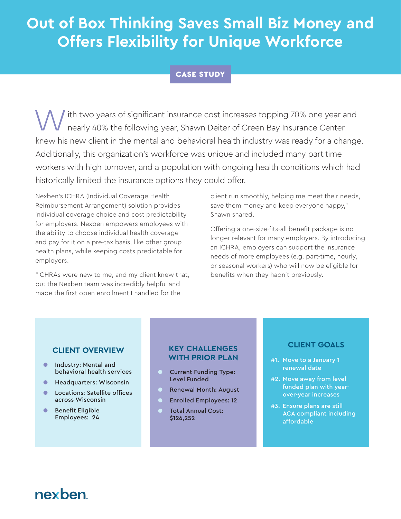# **Out of Box Thinking Saves Small Biz Money and Offers Flexibility for Unique Workforce**

#### CASE STUDY

With two years of significant insurance cost increases topping 70% one year and<br>nearly 40% the following year, Shawn Deiter of Green Bay Insurance Center nearly 40% the following year, Shawn Deiter of Green Bay Insurance Center knew his new client in the mental and behavioral health industry was ready for a change. Additionally, this organization's workforce was unique and included many part-time workers with high turnover, and a population with ongoing health conditions which had historically limited the insurance options they could offer.

Nexben's ICHRA (Individual Coverage Health Reimbursement Arrangement) solution provides individual coverage choice and cost predictability for employers. Nexben empowers employees with the ability to choose individual health coverage and pay for it on a pre-tax basis, like other group health plans, while keeping costs predictable for employers.

"ICHRAs were new to me, and my client knew that, but the Nexben team was incredibly helpful and made the first open enrollment I handled for the

client run smoothly, helping me meet their needs, save them money and keep everyone happy," Shawn shared.

Offering a one-size-fits-all benefit package is no longer relevant for many employers. By introducing an ICHRA, employers can support the insurance needs of more employees (e.g. part-time, hourly, or seasonal workers) who will now be eligible for benefits when they hadn't previously.

#### **CLIENT OVERVIEW**

- Industry: Mental and behavioral health services
- Headquarters: Wisconsin
- Locations: Satellite offices across Wisconsin
- Benefit Eligible Employees: 24

#### **KEY CHALLENGES WITH PRIOR PLAN**

- **O** Current Funding Type: Level Funded
- Renewal Month: August
- **Enrolled Employees: 12**
- Total Annual Cost: \$126,252

#### **CLIENT GOALS**

- #1. Move to a January 1 renewal date
- #2. Move away from level funded plan with yearover-year increases
- #3. Ensure plans are still ACA compliant including affordable

## nexhen